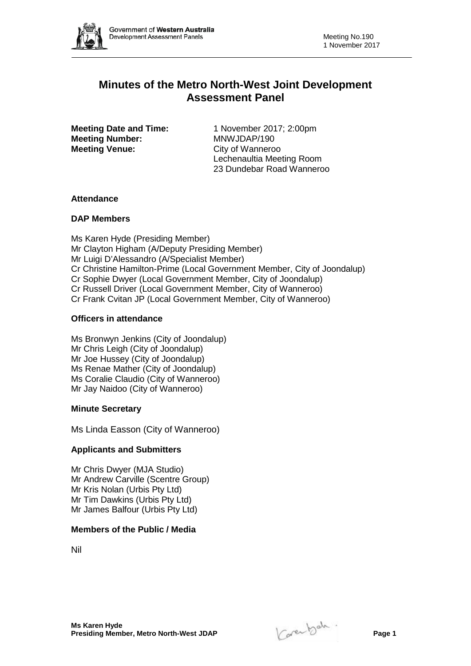

# **Minutes of the Metro North-West Joint Development Assessment Panel**

**Meeting Number: Meeting Venue:** City of Wanneroo

**Meeting Date and Time:** 1 November 2017; 2:00pm<br> **Meeting Number:** MNWJDAP/190 Lechenaultia Meeting Room 23 Dundebar Road Wanneroo

# **Attendance**

# **DAP Members**

Ms Karen Hyde (Presiding Member) Mr Clayton Higham (A/Deputy Presiding Member) Mr Luigi D'Alessandro (A/Specialist Member) Cr Christine Hamilton-Prime (Local Government Member, City of Joondalup) Cr Sophie Dwyer (Local Government Member, City of Joondalup) Cr Russell Driver (Local Government Member, City of Wanneroo) Cr Frank Cvitan JP (Local Government Member, City of Wanneroo)

# **Officers in attendance**

Ms Bronwyn Jenkins (City of Joondalup) Mr Chris Leigh (City of Joondalup) Mr Joe Hussey (City of Joondalup) Ms Renae Mather (City of Joondalup) Ms Coralie Claudio (City of Wanneroo) Mr Jay Naidoo (City of Wanneroo)

### **Minute Secretary**

Ms Linda Easson (City of Wanneroo)

# **Applicants and Submitters**

Mr Chris Dwyer (MJA Studio) Mr Andrew Carville (Scentre Group) Mr Kris Nolan (Urbis Pty Ltd) Mr Tim Dawkins (Urbis Pty Ltd) Mr James Balfour (Urbis Pty Ltd)

### **Members of the Public / Media**

Nil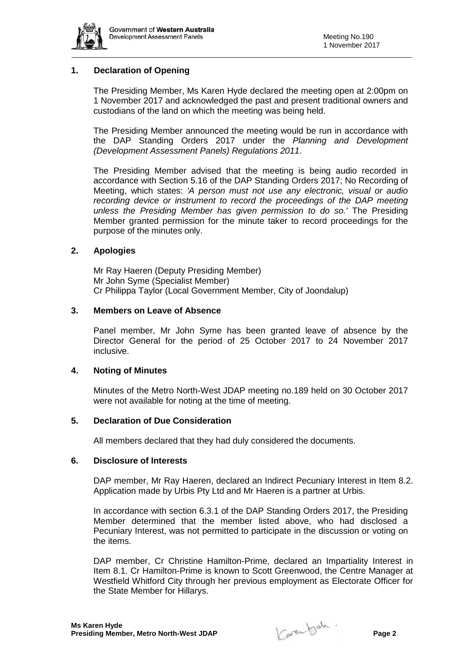

# **1. Declaration of Opening**

The Presiding Member, Ms Karen Hyde declared the meeting open at 2:00pm on 1 November 2017 and acknowledged the past and present traditional owners and custodians of the land on which the meeting was being held.

The Presiding Member announced the meeting would be run in accordance with the DAP Standing Orders 2017 under the *Planning and Development (Development Assessment Panels) Regulations 2011*.

The Presiding Member advised that the meeting is being audio recorded in accordance with Section 5.16 of the DAP Standing Orders 2017; No Recording of Meeting, which states: *'A person must not use any electronic, visual or audio recording device or instrument to record the proceedings of the DAP meeting unless the Presiding Member has given permission to do so.'* The Presiding Member granted permission for the minute taker to record proceedings for the purpose of the minutes only.

### **2. Apologies**

Mr Ray Haeren (Deputy Presiding Member) Mr John Syme (Specialist Member) Cr Philippa Taylor (Local Government Member, City of Joondalup)

### **3. Members on Leave of Absence**

Panel member, Mr John Syme has been granted leave of absence by the Director General for the period of 25 October 2017 to 24 November 2017 inclusive.

### **4. Noting of Minutes**

Minutes of the Metro North-West JDAP meeting no.189 held on 30 October 2017 were not available for noting at the time of meeting.

# **5. Declaration of Due Consideration**

All members declared that they had duly considered the documents.

### **6. Disclosure of Interests**

DAP member, Mr Ray Haeren, declared an Indirect Pecuniary Interest in Item 8.2. Application made by Urbis Pty Ltd and Mr Haeren is a partner at Urbis.

In accordance with section 6.3.1 of the DAP Standing Orders 2017, the Presiding Member determined that the member listed above, who had disclosed a Pecuniary Interest, was not permitted to participate in the discussion or voting on the items.

DAP member, Cr Christine Hamilton-Prime, declared an Impartiality Interest in Item 8.1. Cr Hamilton-Prime is known to Scott Greenwood, the Centre Manager at Westfield Whitford City through her previous employment as Electorate Officer for the State Member for Hillarys.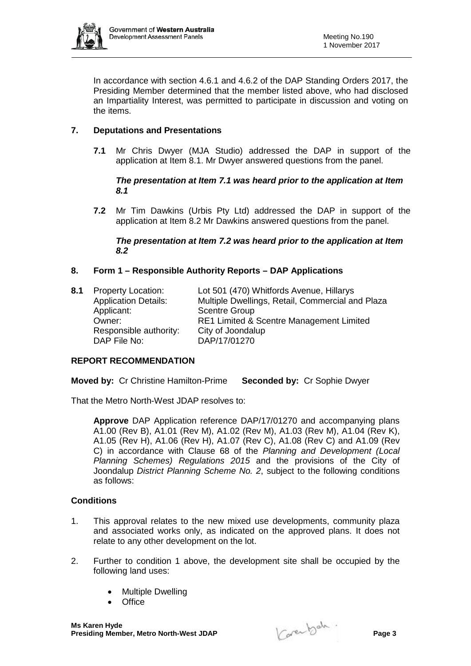

In accordance with section 4.6.1 and 4.6.2 of the DAP Standing Orders 2017, the Presiding Member determined that the member listed above, who had disclosed an Impartiality Interest, was permitted to participate in discussion and voting on the items.

# **7. Deputations and Presentations**

**7.1** Mr Chris Dwyer (MJA Studio) addressed the DAP in support of the application at Item 8.1. Mr Dwyer answered questions from the panel.

## *The presentation at Item 7.1 was heard prior to the application at Item 8.1*

**7.2** Mr Tim Dawkins (Urbis Pty Ltd) addressed the DAP in support of the application at Item 8.2 Mr Dawkins answered questions from the panel.

*The presentation at Item 7.2 was heard prior to the application at Item 8.2*

# **8. Form 1 – Responsible Authority Reports – DAP Applications**

**8.1** Property Location: Lot 501 (470) Whitfords Avenue, Hillarys<br>Application Details: Multiple Dwellings. Retail. Commercial are Application Details: Multiple Dwellings, Retail, Commercial and Plaza<br>Applicant: Scentre Group Scentre Group Owner: RE1 Limited & Scentre Management Limited Responsible authority: City of Joondalup<br>DAP File No: DAP/17/01270 DAP/17/01270

## **REPORT RECOMMENDATION**

**Moved by:** Cr Christine Hamilton-Prime **Seconded by:** Cr Sophie Dwyer

That the Metro North-West JDAP resolves to:

**Approve** DAP Application reference DAP/17/01270 and accompanying plans A1.00 (Rev B), A1.01 (Rev M), A1.02 (Rev M), A1.03 (Rev M), A1.04 (Rev K), A1.05 (Rev H), A1.06 (Rev H), A1.07 (Rev C), A1.08 (Rev C) and A1.09 (Rev C) in accordance with Clause 68 of the *Planning and Development (Local Planning Schemes) Regulations 2015* and the provisions of the City of Joondalup *District Planning Scheme No. 2*, subject to the following conditions as follows:

## **Conditions**

- 1. This approval relates to the new mixed use developments, community plaza and associated works only, as indicated on the approved plans. It does not relate to any other development on the lot.
- 2. Further to condition 1 above, the development site shall be occupied by the following land uses:
	- Multiple Dwelling
	- Office

**Ms Karen Hyde Presiding Member, Metro North-West JDAP Page 3**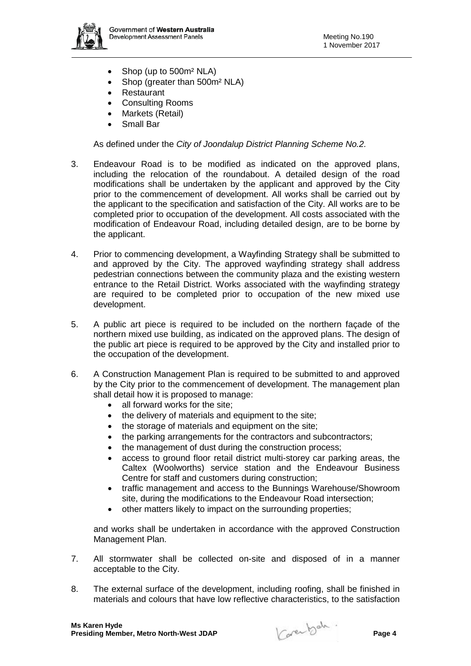

- Shop (up to 500m<sup>2</sup> NLA)
- Shop (greater than 500m<sup>2</sup> NLA)
- Restaurant
- Consulting Rooms
- Markets (Retail)
- Small Bar

As defined under the *City of Joondalup District Planning Scheme No.2.*

- 3. Endeavour Road is to be modified as indicated on the approved plans, including the relocation of the roundabout. A detailed design of the road modifications shall be undertaken by the applicant and approved by the City prior to the commencement of development. All works shall be carried out by the applicant to the specification and satisfaction of the City. All works are to be completed prior to occupation of the development. All costs associated with the modification of Endeavour Road, including detailed design, are to be borne by the applicant.
- 4. Prior to commencing development, a Wayfinding Strategy shall be submitted to and approved by the City. The approved wayfinding strategy shall address pedestrian connections between the community plaza and the existing western entrance to the Retail District. Works associated with the wayfinding strategy are required to be completed prior to occupation of the new mixed use development.
- 5. A public art piece is required to be included on the northern façade of the northern mixed use building, as indicated on the approved plans. The design of the public art piece is required to be approved by the City and installed prior to the occupation of the development.
- 6. A Construction Management Plan is required to be submitted to and approved by the City prior to the commencement of development. The management plan shall detail how it is proposed to manage:
	- all forward works for the site;
	- the delivery of materials and equipment to the site;
	- the storage of materials and equipment on the site;
	- the parking arrangements for the contractors and subcontractors;
	- the management of dust during the construction process;
	- access to ground floor retail district multi-storey car parking areas, the Caltex (Woolworths) service station and the Endeavour Business Centre for staff and customers during construction;
	- traffic management and access to the Bunnings Warehouse/Showroom site, during the modifications to the Endeavour Road intersection;
	- other matters likely to impact on the surrounding properties;

and works shall be undertaken in accordance with the approved Construction Management Plan.

- 7. All stormwater shall be collected on-site and disposed of in a manner acceptable to the City.
- 8. The external surface of the development, including roofing, shall be finished in materials and colours that have low reflective characteristics, to the satisfaction

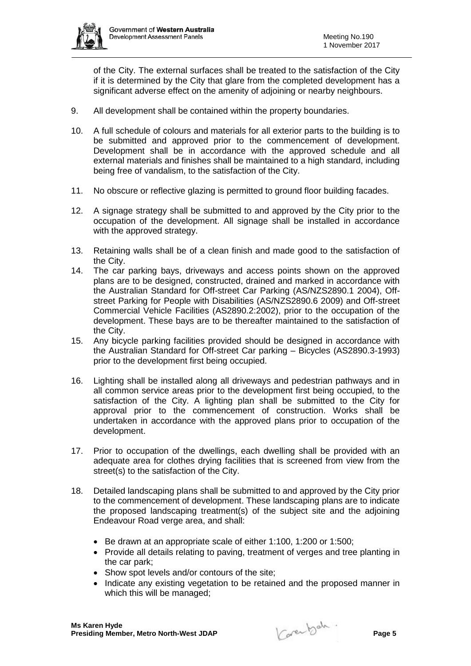

of the City. The external surfaces shall be treated to the satisfaction of the City if it is determined by the City that glare from the completed development has a significant adverse effect on the amenity of adjoining or nearby neighbours.

- 9. All development shall be contained within the property boundaries.
- 10. A full schedule of colours and materials for all exterior parts to the building is to be submitted and approved prior to the commencement of development. Development shall be in accordance with the approved schedule and all external materials and finishes shall be maintained to a high standard, including being free of vandalism, to the satisfaction of the City.
- 11. No obscure or reflective glazing is permitted to ground floor building facades.
- 12. A signage strategy shall be submitted to and approved by the City prior to the occupation of the development. All signage shall be installed in accordance with the approved strategy.
- 13. Retaining walls shall be of a clean finish and made good to the satisfaction of the City.
- 14. The car parking bays, driveways and access points shown on the approved plans are to be designed, constructed, drained and marked in accordance with the Australian Standard for Off-street Car Parking (AS/NZS2890.1 2004), Offstreet Parking for People with Disabilities (AS/NZS2890.6 2009) and Off-street Commercial Vehicle Facilities (AS2890.2:2002), prior to the occupation of the development. These bays are to be thereafter maintained to the satisfaction of the City.
- 15. Any bicycle parking facilities provided should be designed in accordance with the Australian Standard for Off-street Car parking – Bicycles (AS2890.3-1993) prior to the development first being occupied.
- 16. Lighting shall be installed along all driveways and pedestrian pathways and in all common service areas prior to the development first being occupied, to the satisfaction of the City. A lighting plan shall be submitted to the City for approval prior to the commencement of construction. Works shall be undertaken in accordance with the approved plans prior to occupation of the development.
- 17. Prior to occupation of the dwellings, each dwelling shall be provided with an adequate area for clothes drying facilities that is screened from view from the street(s) to the satisfaction of the City.
- 18. Detailed landscaping plans shall be submitted to and approved by the City prior to the commencement of development. These landscaping plans are to indicate the proposed landscaping treatment(s) of the subject site and the adjoining Endeavour Road verge area, and shall:
	- Be drawn at an appropriate scale of either 1:100, 1:200 or 1:500;
	- Provide all details relating to paving, treatment of verges and tree planting in the car park;
	- Show spot levels and/or contours of the site;
	- Indicate any existing vegetation to be retained and the proposed manner in which this will be managed: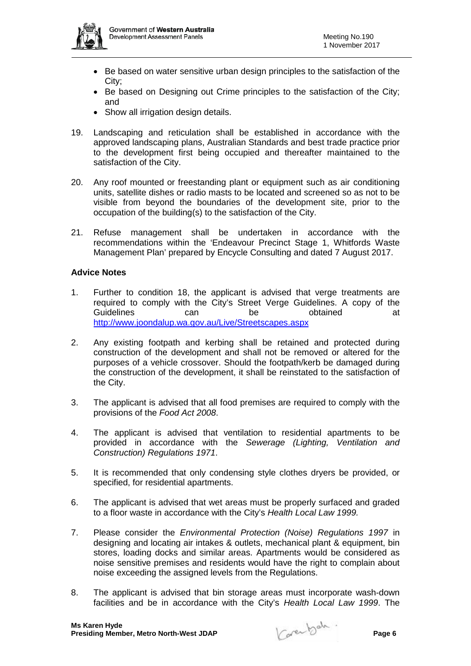

- Be based on water sensitive urban design principles to the satisfaction of the City;
- Be based on Designing out Crime principles to the satisfaction of the City; and
- Show all irrigation design details.
- 19. Landscaping and reticulation shall be established in accordance with the approved landscaping plans, Australian Standards and best trade practice prior to the development first being occupied and thereafter maintained to the satisfaction of the City.
- 20. Any roof mounted or freestanding plant or equipment such as air conditioning units, satellite dishes or radio masts to be located and screened so as not to be visible from beyond the boundaries of the development site, prior to the occupation of the building(s) to the satisfaction of the City.
- 21. Refuse management shall be undertaken in accordance with the recommendations within the 'Endeavour Precinct Stage 1, Whitfords Waste Management Plan' prepared by Encycle Consulting and dated 7 August 2017.

- 1. Further to condition 18, the applicant is advised that verge treatments are required to comply with the City's Street Verge Guidelines. A copy of the Guidelines can be obtained at <http://www.joondalup.wa.gov.au/Live/Streetscapes.aspx>
- 2. Any existing footpath and kerbing shall be retained and protected during construction of the development and shall not be removed or altered for the purposes of a vehicle crossover. Should the footpath/kerb be damaged during the construction of the development, it shall be reinstated to the satisfaction of the City.
- 3. The applicant is advised that all food premises are required to comply with the provisions of the *Food Act 2008*.
- 4. The applicant is advised that ventilation to residential apartments to be provided in accordance with the *Sewerage (Lighting, Ventilation and Construction) Regulations 1971*.
- 5. It is recommended that only condensing style clothes dryers be provided, or specified, for residential apartments.
- 6. The applicant is advised that wet areas must be properly surfaced and graded to a floor waste in accordance with the City's *Health Local Law 1999.*
- 7. Please consider the *Environmental Protection (Noise) Regulations 1997* in designing and locating air intakes & outlets, mechanical plant & equipment, bin stores, loading docks and similar areas. Apartments would be considered as noise sensitive premises and residents would have the right to complain about noise exceeding the assigned levels from the Regulations.
- 8. The applicant is advised that bin storage areas must incorporate wash-down facilities and be in accordance with the City's *Health Local Law 1999*. The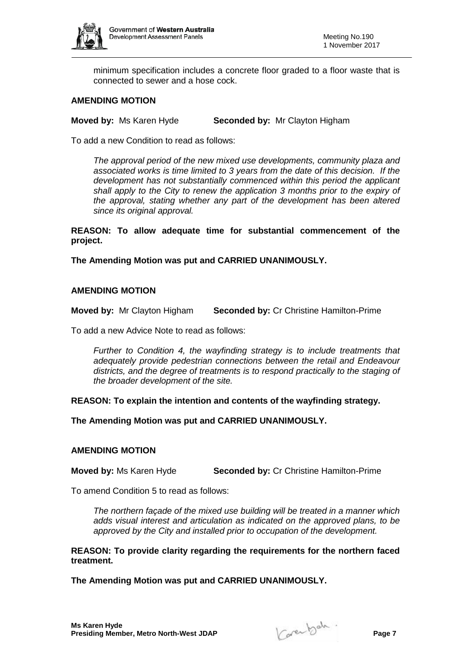

minimum specification includes a concrete floor graded to a floor waste that is connected to sewer and a hose cock.

## **AMENDING MOTION**

**Moved by:** Ms Karen Hyde **Seconded by:** Mr Clayton Higham

To add a new Condition to read as follows:

*The approval period of the new mixed use developments, community plaza and associated works is time limited to 3 years from the date of this decision. If the development has not substantially commenced within this period the applicant shall apply to the City to renew the application 3 months prior to the expiry of the approval, stating whether any part of the development has been altered since its original approval.*

**REASON: To allow adequate time for substantial commencement of the project.**

**The Amending Motion was put and CARRIED UNANIMOUSLY.**

## **AMENDING MOTION**

**Moved by:** Mr Clayton Higham **Seconded by:** Cr Christine Hamilton-Prime

To add a new Advice Note to read as follows:

*Further to Condition 4, the wayfinding strategy is to include treatments that adequately provide pedestrian connections between the retail and Endeavour districts, and the degree of treatments is to respond practically to the staging of the broader development of the site.*

**REASON: To explain the intention and contents of the wayfinding strategy.**

**The Amending Motion was put and CARRIED UNANIMOUSLY.**

### **AMENDING MOTION**

**Moved by:** Ms Karen Hyde **Seconded by:** Cr Christine Hamilton-Prime

To amend Condition 5 to read as follows:

*The northern façade of the mixed use building will be treated in a manner which adds visual interest and articulation as indicated on the approved plans, to be approved by the City and installed prior to occupation of the development.* 

**REASON: To provide clarity regarding the requirements for the northern faced treatment.**

**The Amending Motion was put and CARRIED UNANIMOUSLY.**

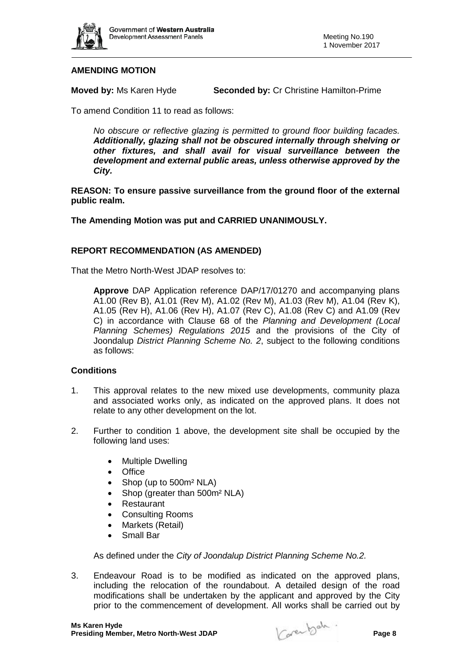

# **AMENDING MOTION**

**Moved by:** Ms Karen Hyde **Seconded by:** Cr Christine Hamilton-Prime

To amend Condition 11 to read as follows:

*No obscure or reflective glazing is permitted to ground floor building facades. Additionally, glazing shall not be obscured internally through shelving or other fixtures, and shall avail for visual surveillance between the development and external public areas, unless otherwise approved by the City.*

**REASON: To ensure passive surveillance from the ground floor of the external public realm.**

**The Amending Motion was put and CARRIED UNANIMOUSLY.**

# **REPORT RECOMMENDATION (AS AMENDED)**

That the Metro North-West JDAP resolves to:

**Approve** DAP Application reference DAP/17/01270 and accompanying plans A1.00 (Rev B), A1.01 (Rev M), A1.02 (Rev M), A1.03 (Rev M), A1.04 (Rev K), A1.05 (Rev H), A1.06 (Rev H), A1.07 (Rev C), A1.08 (Rev C) and A1.09 (Rev C) in accordance with Clause 68 of the *Planning and Development (Local Planning Schemes) Regulations 2015* and the provisions of the City of Joondalup *District Planning Scheme No. 2*, subject to the following conditions as follows:

# **Conditions**

- 1. This approval relates to the new mixed use developments, community plaza and associated works only, as indicated on the approved plans. It does not relate to any other development on the lot.
- 2. Further to condition 1 above, the development site shall be occupied by the following land uses:
	- Multiple Dwelling
	- Office
	- Shop (up to 500m<sup>2</sup> NLA)
	- Shop (greater than 500m<sup>2</sup> NLA)
	- Restaurant
	- Consulting Rooms
	- Markets (Retail)
	- Small Bar

As defined under the *City of Joondalup District Planning Scheme No.2.*

3. Endeavour Road is to be modified as indicated on the approved plans, including the relocation of the roundabout. A detailed design of the road modifications shall be undertaken by the applicant and approved by the City prior to the commencement of development. All works shall be carried out by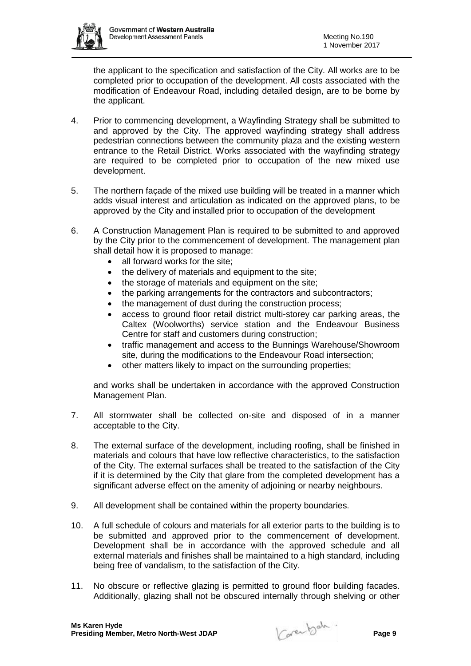

the applicant to the specification and satisfaction of the City. All works are to be completed prior to occupation of the development. All costs associated with the modification of Endeavour Road, including detailed design, are to be borne by the applicant.

- 4. Prior to commencing development, a Wayfinding Strategy shall be submitted to and approved by the City. The approved wayfinding strategy shall address pedestrian connections between the community plaza and the existing western entrance to the Retail District. Works associated with the wayfinding strategy are required to be completed prior to occupation of the new mixed use development.
- 5. The northern façade of the mixed use building will be treated in a manner which adds visual interest and articulation as indicated on the approved plans, to be approved by the City and installed prior to occupation of the development
- 6. A Construction Management Plan is required to be submitted to and approved by the City prior to the commencement of development. The management plan shall detail how it is proposed to manage:
	- all forward works for the site;
	- the delivery of materials and equipment to the site;
	- the storage of materials and equipment on the site:
	- the parking arrangements for the contractors and subcontractors:
	- the management of dust during the construction process;
	- access to ground floor retail district multi-storey car parking areas, the Caltex (Woolworths) service station and the Endeavour Business Centre for staff and customers during construction;
	- traffic management and access to the Bunnings Warehouse/Showroom site, during the modifications to the Endeavour Road intersection;
	- other matters likely to impact on the surrounding properties;

and works shall be undertaken in accordance with the approved Construction Management Plan.

- 7. All stormwater shall be collected on-site and disposed of in a manner acceptable to the City.
- 8. The external surface of the development, including roofing, shall be finished in materials and colours that have low reflective characteristics, to the satisfaction of the City. The external surfaces shall be treated to the satisfaction of the City if it is determined by the City that glare from the completed development has a significant adverse effect on the amenity of adjoining or nearby neighbours.
- 9. All development shall be contained within the property boundaries.
- 10. A full schedule of colours and materials for all exterior parts to the building is to be submitted and approved prior to the commencement of development. Development shall be in accordance with the approved schedule and all external materials and finishes shall be maintained to a high standard, including being free of vandalism, to the satisfaction of the City.
- 11. No obscure or reflective glazing is permitted to ground floor building facades. Additionally, glazing shall not be obscured internally through shelving or other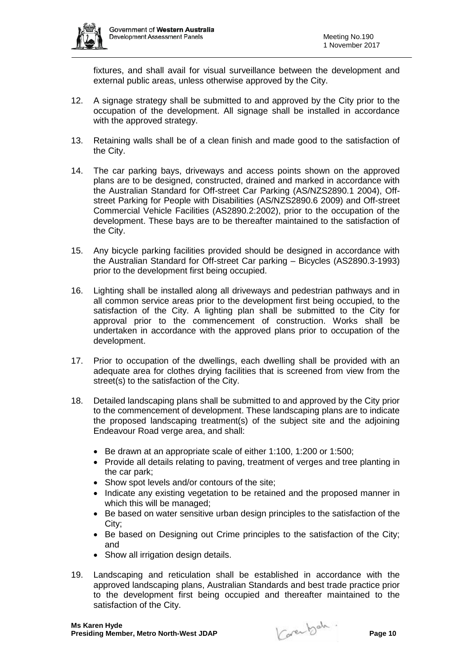

fixtures, and shall avail for visual surveillance between the development and external public areas, unless otherwise approved by the City.

- 12. A signage strategy shall be submitted to and approved by the City prior to the occupation of the development. All signage shall be installed in accordance with the approved strategy.
- 13. Retaining walls shall be of a clean finish and made good to the satisfaction of the City.
- 14. The car parking bays, driveways and access points shown on the approved plans are to be designed, constructed, drained and marked in accordance with the Australian Standard for Off-street Car Parking (AS/NZS2890.1 2004), Offstreet Parking for People with Disabilities (AS/NZS2890.6 2009) and Off-street Commercial Vehicle Facilities (AS2890.2:2002), prior to the occupation of the development. These bays are to be thereafter maintained to the satisfaction of the City.
- 15. Any bicycle parking facilities provided should be designed in accordance with the Australian Standard for Off-street Car parking – Bicycles (AS2890.3-1993) prior to the development first being occupied.
- 16. Lighting shall be installed along all driveways and pedestrian pathways and in all common service areas prior to the development first being occupied, to the satisfaction of the City. A lighting plan shall be submitted to the City for approval prior to the commencement of construction. Works shall be undertaken in accordance with the approved plans prior to occupation of the development.
- 17. Prior to occupation of the dwellings, each dwelling shall be provided with an adequate area for clothes drying facilities that is screened from view from the street(s) to the satisfaction of the City.
- 18. Detailed landscaping plans shall be submitted to and approved by the City prior to the commencement of development. These landscaping plans are to indicate the proposed landscaping treatment(s) of the subject site and the adjoining Endeavour Road verge area, and shall:
	- Be drawn at an appropriate scale of either 1:100, 1:200 or 1:500;
	- Provide all details relating to paving, treatment of verges and tree planting in the car park;
	- Show spot levels and/or contours of the site;
	- Indicate any existing vegetation to be retained and the proposed manner in which this will be managed;
	- Be based on water sensitive urban design principles to the satisfaction of the City;
	- Be based on Designing out Crime principles to the satisfaction of the City; and
	- Show all irrigation design details.
- 19. Landscaping and reticulation shall be established in accordance with the approved landscaping plans, Australian Standards and best trade practice prior to the development first being occupied and thereafter maintained to the satisfaction of the City.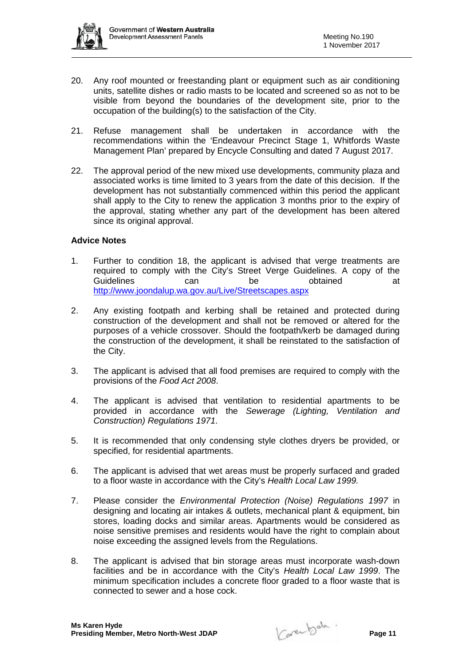

- 20. Any roof mounted or freestanding plant or equipment such as air conditioning units, satellite dishes or radio masts to be located and screened so as not to be visible from beyond the boundaries of the development site, prior to the occupation of the building(s) to the satisfaction of the City.
- 21. Refuse management shall be undertaken in accordance with the recommendations within the 'Endeavour Precinct Stage 1, Whitfords Waste Management Plan' prepared by Encycle Consulting and dated 7 August 2017.
- 22. The approval period of the new mixed use developments, community plaza and associated works is time limited to 3 years from the date of this decision. If the development has not substantially commenced within this period the applicant shall apply to the City to renew the application 3 months prior to the expiry of the approval, stating whether any part of the development has been altered since its original approval.

- 1. Further to condition 18, the applicant is advised that verge treatments are required to comply with the City's Street Verge Guidelines. A copy of the Guidelines can be obtained at <http://www.joondalup.wa.gov.au/Live/Streetscapes.aspx>
- 2. Any existing footpath and kerbing shall be retained and protected during construction of the development and shall not be removed or altered for the purposes of a vehicle crossover. Should the footpath/kerb be damaged during the construction of the development, it shall be reinstated to the satisfaction of the City.
- 3. The applicant is advised that all food premises are required to comply with the provisions of the *Food Act 2008*.
- 4. The applicant is advised that ventilation to residential apartments to be provided in accordance with the *Sewerage (Lighting, Ventilation and Construction) Regulations 1971*.
- 5. It is recommended that only condensing style clothes dryers be provided, or specified, for residential apartments.
- 6. The applicant is advised that wet areas must be properly surfaced and graded to a floor waste in accordance with the City's *Health Local Law 1999.*
- 7. Please consider the *Environmental Protection (Noise) Regulations 1997* in designing and locating air intakes & outlets, mechanical plant & equipment, bin stores, loading docks and similar areas. Apartments would be considered as noise sensitive premises and residents would have the right to complain about noise exceeding the assigned levels from the Regulations.
- 8. The applicant is advised that bin storage areas must incorporate wash-down facilities and be in accordance with the City's *Health Local Law 1999*. The minimum specification includes a concrete floor graded to a floor waste that is connected to sewer and a hose cock.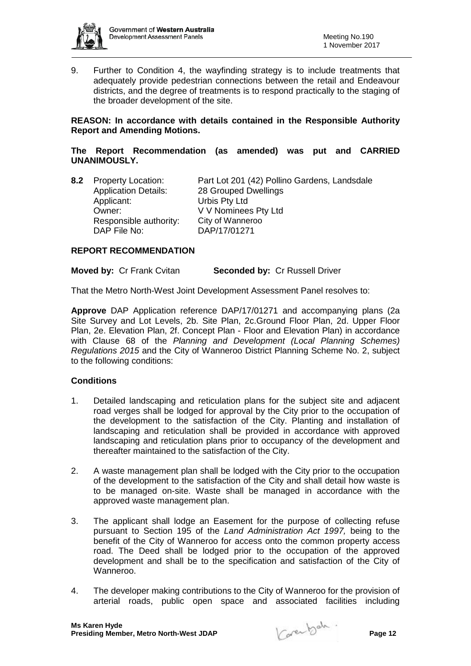

9. Further to Condition 4, the wayfinding strategy is to include treatments that adequately provide pedestrian connections between the retail and Endeavour districts, and the degree of treatments is to respond practically to the staging of the broader development of the site.

# **REASON: In accordance with details contained in the Responsible Authority Report and Amending Motions.**

# **The Report Recommendation (as amended) was put and CARRIED UNANIMOUSLY.**

| 8.2 Property Location: | Part Lot 201 (42) Pollino Gardens, Landsdale |
|------------------------|----------------------------------------------|
|                        | 28 Grouped Dwellings                         |
| Applicant:             | Urbis Pty Ltd                                |
| Owner:                 | V V Nominees Pty Ltd                         |
| Responsible authority: | City of Wanneroo                             |
| DAP File No:           | DAP/17/01271                                 |
|                        | <b>Application Details:</b>                  |

# **REPORT RECOMMENDATION**

|  | <b>Moved by: Cr Frank Cvitan</b> |  | <b>Seconded by: Cr Russell Driver</b> |
|--|----------------------------------|--|---------------------------------------|
|--|----------------------------------|--|---------------------------------------|

That the Metro North-West Joint Development Assessment Panel resolves to:

**Approve** DAP Application reference DAP/17/01271 and accompanying plans (2a Site Survey and Lot Levels, 2b. Site Plan, 2c.Ground Floor Plan, 2d. Upper Floor Plan, 2e. Elevation Plan, 2f. Concept Plan - Floor and Elevation Plan) in accordance with Clause 68 of the *Planning and Development (Local Planning Schemes) Regulations 2015* and the City of Wanneroo District Planning Scheme No. 2, subject to the following conditions:

# **Conditions**

- 1. Detailed landscaping and reticulation plans for the subject site and adjacent road verges shall be lodged for approval by the City prior to the occupation of the development to the satisfaction of the City. Planting and installation of landscaping and reticulation shall be provided in accordance with approved landscaping and reticulation plans prior to occupancy of the development and thereafter maintained to the satisfaction of the City.
- 2. A waste management plan shall be lodged with the City prior to the occupation of the development to the satisfaction of the City and shall detail how waste is to be managed on-site. Waste shall be managed in accordance with the approved waste management plan.
- 3. The applicant shall lodge an Easement for the purpose of collecting refuse pursuant to Section 195 of the *Land Administration Act 1997,* being to the benefit of the City of Wanneroo for access onto the common property access road. The Deed shall be lodged prior to the occupation of the approved development and shall be to the specification and satisfaction of the City of Wanneroo.
- 4. The developer making contributions to the City of Wanneroo for the provision of arterial roads, public open space and associated facilities including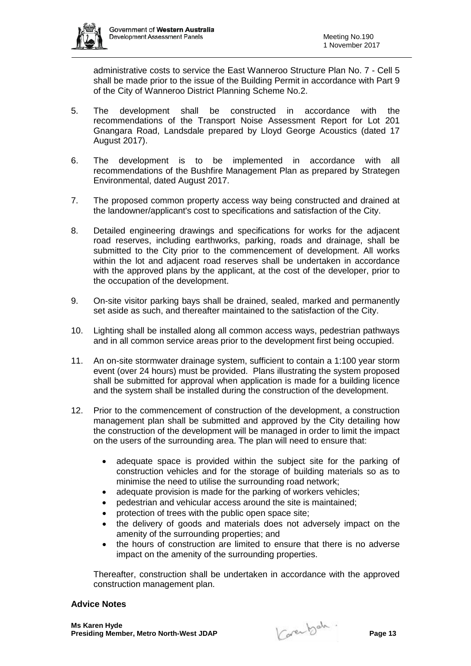

administrative costs to service the East Wanneroo Structure Plan No. 7 - Cell 5 shall be made prior to the issue of the Building Permit in accordance with Part 9 of the City of Wanneroo District Planning Scheme No.2.

- 5. The development shall be constructed in accordance with the recommendations of the Transport Noise Assessment Report for Lot 201 Gnangara Road, Landsdale prepared by Lloyd George Acoustics (dated 17 August 2017).
- 6. The development is to be implemented in accordance with all recommendations of the Bushfire Management Plan as prepared by Strategen Environmental, dated August 2017.
- 7. The proposed common property access way being constructed and drained at the landowner/applicant's cost to specifications and satisfaction of the City.
- 8. Detailed engineering drawings and specifications for works for the adjacent road reserves, including earthworks, parking, roads and drainage, shall be submitted to the City prior to the commencement of development. All works within the lot and adjacent road reserves shall be undertaken in accordance with the approved plans by the applicant, at the cost of the developer, prior to the occupation of the development.
- 9. On-site visitor parking bays shall be drained, sealed, marked and permanently set aside as such, and thereafter maintained to the satisfaction of the City.
- 10. Lighting shall be installed along all common access ways, pedestrian pathways and in all common service areas prior to the development first being occupied.
- 11. An on-site stormwater drainage system, sufficient to contain a 1:100 year storm event (over 24 hours) must be provided. Plans illustrating the system proposed shall be submitted for approval when application is made for a building licence and the system shall be installed during the construction of the development.
- 12. Prior to the commencement of construction of the development, a construction management plan shall be submitted and approved by the City detailing how the construction of the development will be managed in order to limit the impact on the users of the surrounding area. The plan will need to ensure that:
	- adequate space is provided within the subject site for the parking of construction vehicles and for the storage of building materials so as to minimise the need to utilise the surrounding road network;
	- adequate provision is made for the parking of workers vehicles;
	- pedestrian and vehicular access around the site is maintained;
	- protection of trees with the public open space site;
	- the delivery of goods and materials does not adversely impact on the amenity of the surrounding properties; and
	- the hours of construction are limited to ensure that there is no adverse impact on the amenity of the surrounding properties.

Thereafter, construction shall be undertaken in accordance with the approved construction management plan.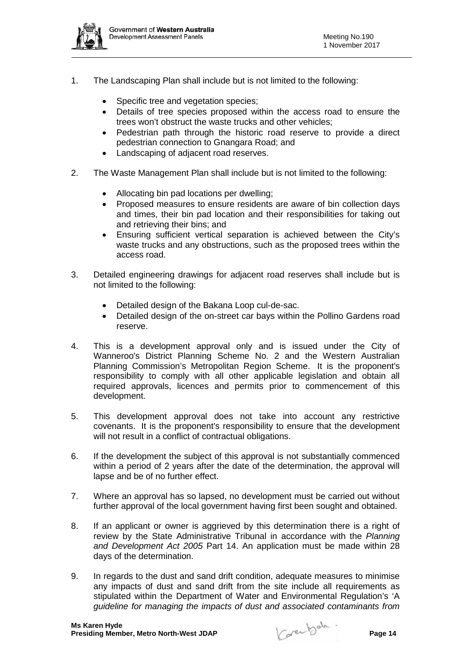

- 1. The Landscaping Plan shall include but is not limited to the following:
	- Specific tree and vegetation species;
	- Details of tree species proposed within the access road to ensure the trees won't obstruct the waste trucks and other vehicles;
	- Pedestrian path through the historic road reserve to provide a direct pedestrian connection to Gnangara Road; and
	- Landscaping of adjacent road reserves.
- 2. The Waste Management Plan shall include but is not limited to the following:
	- Allocating bin pad locations per dwelling;
	- Proposed measures to ensure residents are aware of bin collection days and times, their bin pad location and their responsibilities for taking out and retrieving their bins; and
	- Ensuring sufficient vertical separation is achieved between the City's waste trucks and any obstructions, such as the proposed trees within the access road.
- 3. Detailed engineering drawings for adjacent road reserves shall include but is not limited to the following:
	- Detailed design of the Bakana Loop cul-de-sac.
	- Detailed design of the on-street car bays within the Pollino Gardens road reserve.
- 4. This is a development approval only and is issued under the City of Wanneroo's District Planning Scheme No. 2 and the Western Australian Planning Commission's Metropolitan Region Scheme. It is the proponent's responsibility to comply with all other applicable legislation and obtain all required approvals, licences and permits prior to commencement of this development.
- 5. This development approval does not take into account any restrictive covenants. It is the proponent's responsibility to ensure that the development will not result in a conflict of contractual obligations.
- 6. If the development the subject of this approval is not substantially commenced within a period of 2 years after the date of the determination, the approval will lapse and be of no further effect.
- 7. Where an approval has so lapsed, no development must be carried out without further approval of the local government having first been sought and obtained.
- 8. If an applicant or owner is aggrieved by this determination there is a right of review by the State Administrative Tribunal in accordance with the *Planning and Development Act 2005* Part 14. An application must be made within 28 days of the determination.
- 9. In regards to the dust and sand drift condition, adequate measures to minimise any impacts of dust and sand drift from the site include all requirements as stipulated within the Department of Water and Environmental Regulation's 'A *guideline for managing the impacts of dust and associated contaminants from*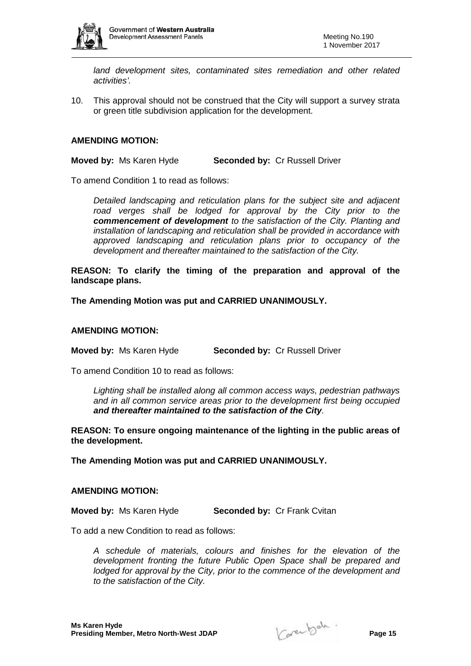

*land development sites, contaminated sites remediation and other related activities'.*

10. This approval should not be construed that the City will support a survey strata or green title subdivision application for the development.

## **AMENDING MOTION:**

**Moved by:** Ms Karen Hyde **Seconded by:** Cr Russell Driver

To amend Condition 1 to read as follows:

*Detailed landscaping and reticulation plans for the subject site and adjacent road verges shall be lodged for approval by the City prior to the commencement of development to the satisfaction of the City. Planting and installation of landscaping and reticulation shall be provided in accordance with approved landscaping and reticulation plans prior to occupancy of the development and thereafter maintained to the satisfaction of the City.*

**REASON: To clarify the timing of the preparation and approval of the landscape plans.**

**The Amending Motion was put and CARRIED UNANIMOUSLY.**

#### **AMENDING MOTION:**

**Moved by:** Ms Karen Hyde **Seconded by:** Cr Russell Driver

To amend Condition 10 to read as follows:

*Lighting shall be installed along all common access ways, pedestrian pathways and in all common service areas prior to the development first being occupied and thereafter maintained to the satisfaction of the City.*

**REASON: To ensure ongoing maintenance of the lighting in the public areas of the development.**

**The Amending Motion was put and CARRIED UNANIMOUSLY.**

### **AMENDING MOTION:**

**Moved by:** Ms Karen Hyde **Seconded by:** Cr Frank Cvitan

To add a new Condition to read as follows:

*A schedule of materials, colours and finishes for the elevation of the development fronting the future Public Open Space shall be prepared and lodged for approval by the City, prior to the commence of the development and to the satisfaction of the City.*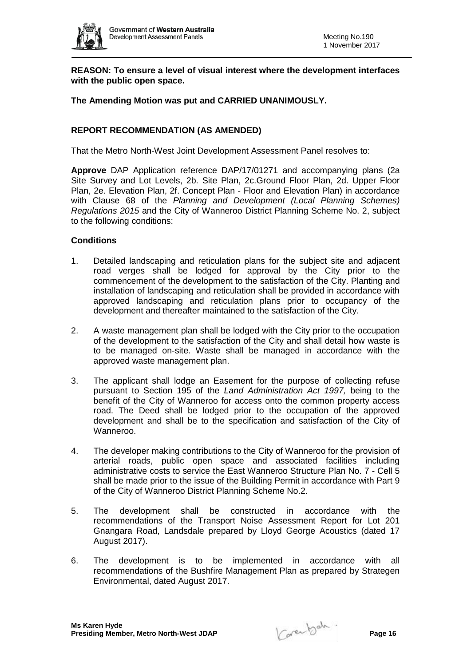

**REASON: To ensure a level of visual interest where the development interfaces with the public open space.**

**The Amending Motion was put and CARRIED UNANIMOUSLY.**

# **REPORT RECOMMENDATION (AS AMENDED)**

That the Metro North-West Joint Development Assessment Panel resolves to:

**Approve** DAP Application reference DAP/17/01271 and accompanying plans (2a Site Survey and Lot Levels, 2b. Site Plan, 2c.Ground Floor Plan, 2d. Upper Floor Plan, 2e. Elevation Plan, 2f. Concept Plan - Floor and Elevation Plan) in accordance with Clause 68 of the *Planning and Development (Local Planning Schemes) Regulations 2015* and the City of Wanneroo District Planning Scheme No. 2, subject to the following conditions:

## **Conditions**

- 1. Detailed landscaping and reticulation plans for the subject site and adjacent road verges shall be lodged for approval by the City prior to the commencement of the development to the satisfaction of the City. Planting and installation of landscaping and reticulation shall be provided in accordance with approved landscaping and reticulation plans prior to occupancy of the development and thereafter maintained to the satisfaction of the City.
- 2. A waste management plan shall be lodged with the City prior to the occupation of the development to the satisfaction of the City and shall detail how waste is to be managed on-site. Waste shall be managed in accordance with the approved waste management plan.
- 3. The applicant shall lodge an Easement for the purpose of collecting refuse pursuant to Section 195 of the *Land Administration Act 1997,* being to the benefit of the City of Wanneroo for access onto the common property access road. The Deed shall be lodged prior to the occupation of the approved development and shall be to the specification and satisfaction of the City of Wanneroo.
- 4. The developer making contributions to the City of Wanneroo for the provision of arterial roads, public open space and associated facilities including administrative costs to service the East Wanneroo Structure Plan No. 7 - Cell 5 shall be made prior to the issue of the Building Permit in accordance with Part 9 of the City of Wanneroo District Planning Scheme No.2.
- 5. The development shall be constructed in accordance with the recommendations of the Transport Noise Assessment Report for Lot 201 Gnangara Road, Landsdale prepared by Lloyd George Acoustics (dated 17 August 2017).
- 6. The development is to be implemented in accordance with all recommendations of the Bushfire Management Plan as prepared by Strategen Environmental, dated August 2017.

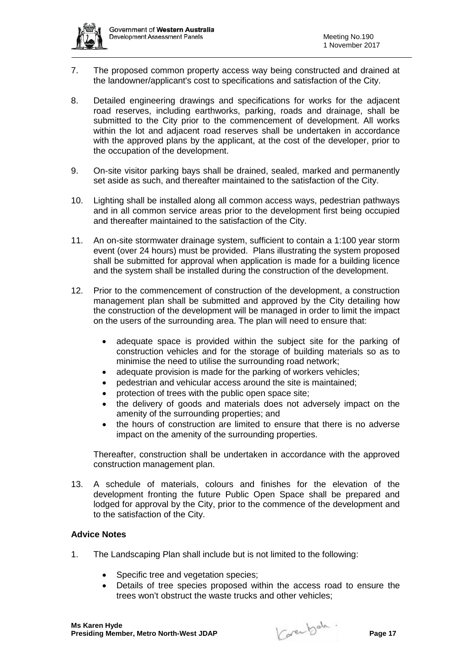

- 7. The proposed common property access way being constructed and drained at the landowner/applicant's cost to specifications and satisfaction of the City.
- 8. Detailed engineering drawings and specifications for works for the adjacent road reserves, including earthworks, parking, roads and drainage, shall be submitted to the City prior to the commencement of development. All works within the lot and adjacent road reserves shall be undertaken in accordance with the approved plans by the applicant, at the cost of the developer, prior to the occupation of the development.
- 9. On-site visitor parking bays shall be drained, sealed, marked and permanently set aside as such, and thereafter maintained to the satisfaction of the City.
- 10. Lighting shall be installed along all common access ways, pedestrian pathways and in all common service areas prior to the development first being occupied and thereafter maintained to the satisfaction of the City.
- 11. An on-site stormwater drainage system, sufficient to contain a 1:100 year storm event (over 24 hours) must be provided. Plans illustrating the system proposed shall be submitted for approval when application is made for a building licence and the system shall be installed during the construction of the development.
- 12. Prior to the commencement of construction of the development, a construction management plan shall be submitted and approved by the City detailing how the construction of the development will be managed in order to limit the impact on the users of the surrounding area. The plan will need to ensure that:
	- adequate space is provided within the subject site for the parking of construction vehicles and for the storage of building materials so as to minimise the need to utilise the surrounding road network;
	- adequate provision is made for the parking of workers vehicles;
	- pedestrian and vehicular access around the site is maintained;
	- protection of trees with the public open space site;
	- the delivery of goods and materials does not adversely impact on the amenity of the surrounding properties; and
	- the hours of construction are limited to ensure that there is no adverse impact on the amenity of the surrounding properties.

Thereafter, construction shall be undertaken in accordance with the approved construction management plan.

13. A schedule of materials, colours and finishes for the elevation of the development fronting the future Public Open Space shall be prepared and lodged for approval by the City, prior to the commence of the development and to the satisfaction of the City.

- 1. The Landscaping Plan shall include but is not limited to the following:
	- Specific tree and vegetation species;
	- Details of tree species proposed within the access road to ensure the trees won't obstruct the waste trucks and other vehicles;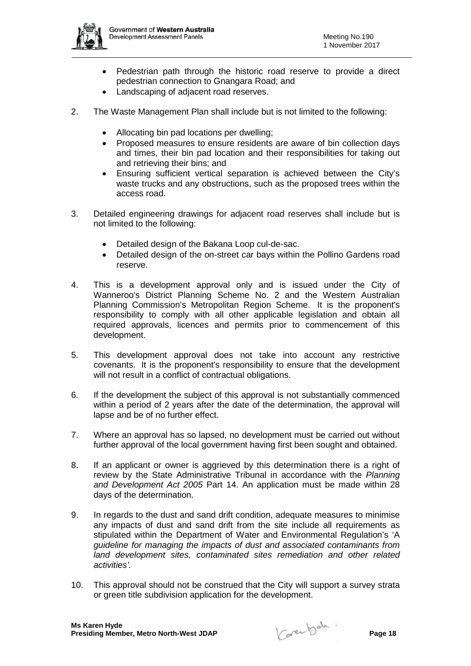

- Pedestrian path through the historic road reserve to provide a direct pedestrian connection to Gnangara Road; and
- Landscaping of adjacent road reserves.
- 2. The Waste Management Plan shall include but is not limited to the following:
	- Allocating bin pad locations per dwelling;
	- Proposed measures to ensure residents are aware of bin collection days and times, their bin pad location and their responsibilities for taking out and retrieving their bins; and
	- Ensuring sufficient vertical separation is achieved between the City's waste trucks and any obstructions, such as the proposed trees within the access road.
- 3. Detailed engineering drawings for adjacent road reserves shall include but is not limited to the following:
	- Detailed design of the Bakana Loop cul-de-sac.
	- Detailed design of the on-street car bays within the Pollino Gardens road reserve.
- 4. This is a development approval only and is issued under the City of Wanneroo's District Planning Scheme No. 2 and the Western Australian Planning Commission's Metropolitan Region Scheme. It is the proponent's responsibility to comply with all other applicable legislation and obtain all required approvals, licences and permits prior to commencement of this development.
- 5. This development approval does not take into account any restrictive covenants. It is the proponent's responsibility to ensure that the development will not result in a conflict of contractual obligations.
- 6. If the development the subject of this approval is not substantially commenced within a period of 2 years after the date of the determination, the approval will lapse and be of no further effect.
- 7. Where an approval has so lapsed, no development must be carried out without further approval of the local government having first been sought and obtained.
- 8. If an applicant or owner is aggrieved by this determination there is a right of review by the State Administrative Tribunal in accordance with the *Planning and Development Act 2005* Part 14. An application must be made within 28 days of the determination.
- 9. In regards to the dust and sand drift condition, adequate measures to minimise any impacts of dust and sand drift from the site include all requirements as stipulated within the Department of Water and Environmental Regulation's 'A *guideline for managing the impacts of dust and associated contaminants from land development sites, contaminated sites remediation and other related activities'.*
- 10. This approval should not be construed that the City will support a survey strata or green title subdivision application for the development.